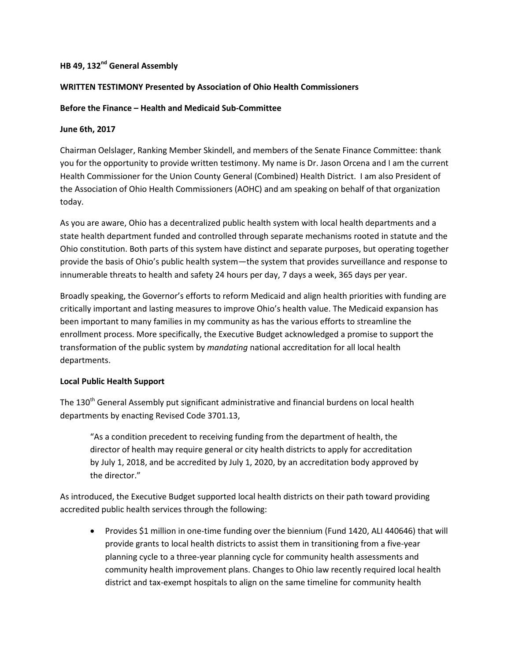# **HB 49, 132<sup>nd</sup> General Assembly**

## **WRITTEN TESTIMONY Presented by Association of Ohio Health Commissioners**

## **Before the Finance – Health and Medicaid Sub-Committee**

#### **June 6th, 2017**

Chairman Oelslager, Ranking Member Skindell, and members of the Senate Finance Committee: thank you for the opportunity to provide written testimony. My name is Dr. Jason Orcena and I am the current Health Commissioner for the Union County General (Combined) Health District. I am also President of the Association of Ohio Health Commissioners (AOHC) and am speaking on behalf of that organization today.

As you are aware, Ohio has a decentralized public health system with local health departments and a state health department funded and controlled through separate mechanisms rooted in statute and the Ohio constitution. Both parts of this system have distinct and separate purposes, but operating together provide the basis of Ohio's public health system—the system that provides surveillance and response to innumerable threats to health and safety 24 hours per day, 7 days a week, 365 days per year.

Broadly speaking, the Governor's efforts to reform Medicaid and align health priorities with funding are critically important and lasting measures to improve Ohio's health value. The Medicaid expansion has been important to many families in my community as has the various efforts to streamline the enrollment process. More specifically, the Executive Budget acknowledged a promise to support the transformation of the public system by *mandating* national accreditation for all local health departments.

# **Local Public Health Support**

The 130<sup>th</sup> General Assembly put significant administrative and financial burdens on local health departments by enacting Revised Code 3701.13,

"As a condition precedent to receiving funding from the department of health, the director of health may require general or city health districts to apply for accreditation by July 1, 2018, and be accredited by July 1, 2020, by an accreditation body approved by the director."

As introduced, the Executive Budget supported local health districts on their path toward providing accredited public health services through the following:

 Provides \$1 million in one-time funding over the biennium (Fund 1420, ALI 440646) that will provide grants to local health districts to assist them in transitioning from a five-year planning cycle to a three-year planning cycle for community health assessments and community health improvement plans. Changes to Ohio law recently required local health district and tax-exempt hospitals to align on the same timeline for community health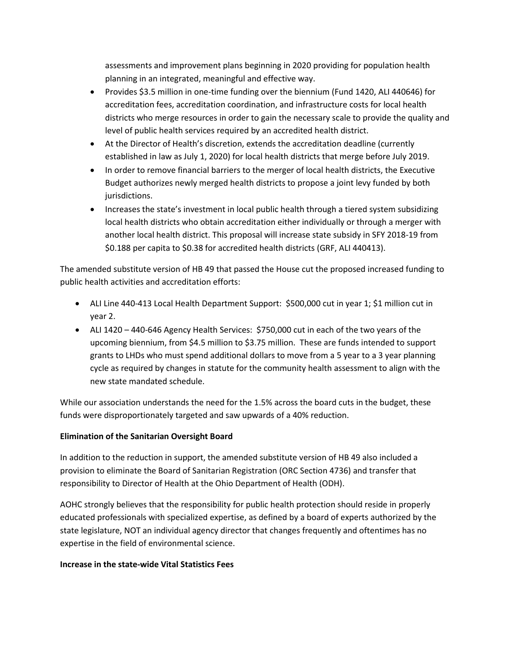assessments and improvement plans beginning in 2020 providing for population health planning in an integrated, meaningful and effective way.

- Provides \$3.5 million in one-time funding over the biennium (Fund 1420, ALI 440646) for accreditation fees, accreditation coordination, and infrastructure costs for local health districts who merge resources in order to gain the necessary scale to provide the quality and level of public health services required by an accredited health district.
- At the Director of Health's discretion, extends the accreditation deadline (currently established in law as July 1, 2020) for local health districts that merge before July 2019.
- In order to remove financial barriers to the merger of local health districts, the Executive Budget authorizes newly merged health districts to propose a joint levy funded by both jurisdictions.
- Increases the state's investment in local public health through a tiered system subsidizing local health districts who obtain accreditation either individually or through a merger with another local health district. This proposal will increase state subsidy in SFY 2018-19 from \$0.188 per capita to \$0.38 for accredited health districts (GRF, ALI 440413).

The amended substitute version of HB 49 that passed the House cut the proposed increased funding to public health activities and accreditation efforts:

- ALI Line 440-413 Local Health Department Support: \$500,000 cut in year 1; \$1 million cut in year 2.
- ALI 1420 440-646 Agency Health Services: \$750,000 cut in each of the two years of the upcoming biennium, from \$4.5 million to \$3.75 million. These are funds intended to support grants to LHDs who must spend additional dollars to move from a 5 year to a 3 year planning cycle as required by changes in statute for the community health assessment to align with the new state mandated schedule.

While our association understands the need for the 1.5% across the board cuts in the budget, these funds were disproportionately targeted and saw upwards of a 40% reduction.

# **Elimination of the Sanitarian Oversight Board**

In addition to the reduction in support, the amended substitute version of HB 49 also included a provision to eliminate the Board of Sanitarian Registration (ORC Section 4736) and transfer that responsibility to Director of Health at the Ohio Department of Health (ODH).

AOHC strongly believes that the responsibility for public health protection should reside in properly educated professionals with specialized expertise, as defined by a board of experts authorized by the state legislature, NOT an individual agency director that changes frequently and oftentimes has no expertise in the field of environmental science.

# **Increase in the state-wide Vital Statistics Fees**